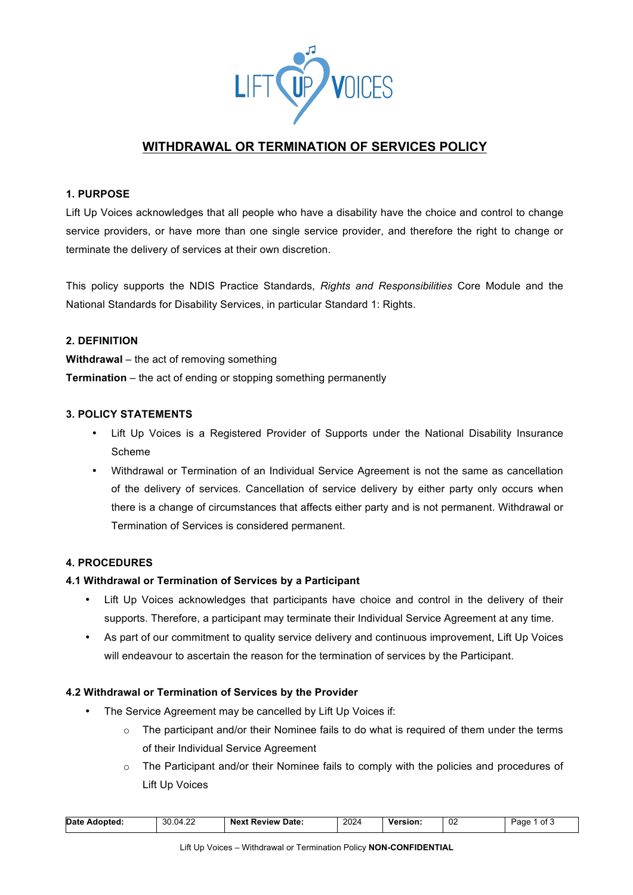

# **WITHDRAWAL OR TERMINATION OF SERVICES POLICY**

# **1. PURPOSE**

Lift Up Voices acknowledges that all people who have a disability have the choice and control to change service providers, or have more than one single service provider, and therefore the right to change or terminate the delivery of services at their own discretion.

This policy supports the NDIS Practice Standards, *Rights and Responsibilities* Core Module and the National Standards for Disability Services, in particular Standard 1: Rights.

# **2. DEFINITION**

**Withdrawal** – the act of removing something **Termination** – the act of ending or stopping something permanently

# **3. POLICY STATEMENTS**

- Lift Up Voices is a Registered Provider of Supports under the National Disability Insurance Scheme
- Withdrawal or Termination of an Individual Service Agreement is not the same as cancellation of the delivery of services. Cancellation of service delivery by either party only occurs when there is a change of circumstances that affects either party and is not permanent. Withdrawal or Termination of Services is considered permanent.

## **4. PROCEDURES**

## **4.1 Withdrawal or Termination of Services by a Participant**

- Lift Up Voices acknowledges that participants have choice and control in the delivery of their supports. Therefore, a participant may terminate their Individual Service Agreement at any time.
- As part of our commitment to quality service delivery and continuous improvement, Lift Up Voices will endeavour to ascertain the reason for the termination of services by the Participant.

## **4.2 Withdrawal or Termination of Services by the Provider**

- The Service Agreement may be cancelled by Lift Up Voices if:
	- $\circ$  The participant and/or their Nominee fails to do what is required of them under the terms of their Individual Service Agreement
	- $\circ$  The Participant and/or their Nominee fails to comply with the policies and procedures of Lift Up Voices

| 2024<br>02<br><b>Date</b><br>$\sim$<br>30.0<br>04<br>∵Date:<br><b>Next Review</b><br><b>Version:</b><br>Adopted:<br>Page<br>7.LL |  |  |  |  |  |  | `ot J |
|----------------------------------------------------------------------------------------------------------------------------------|--|--|--|--|--|--|-------|
|----------------------------------------------------------------------------------------------------------------------------------|--|--|--|--|--|--|-------|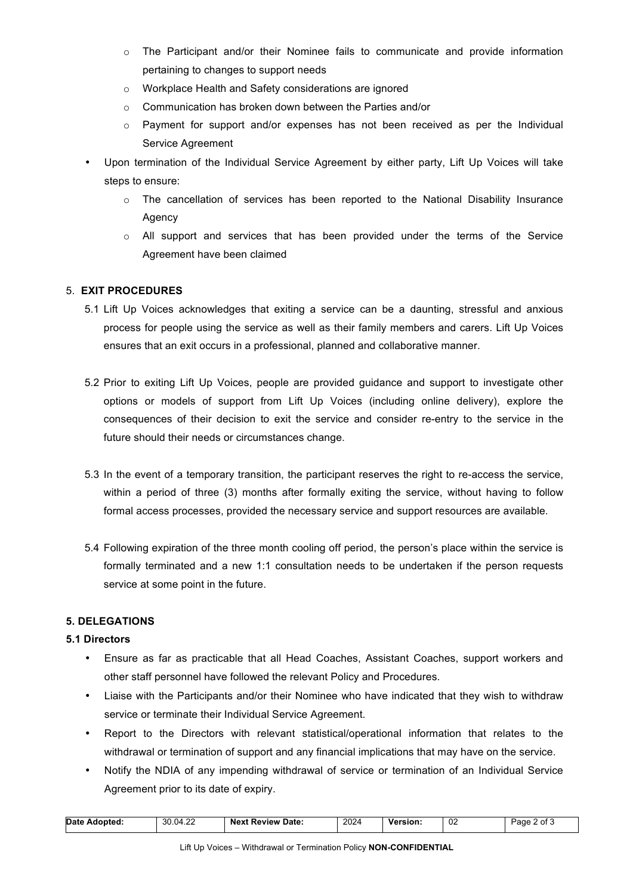- $\circ$  The Participant and/or their Nominee fails to communicate and provide information pertaining to changes to support needs
- o Workplace Health and Safety considerations are ignored
- o Communication has broken down between the Parties and/or
- $\circ$  Payment for support and/or expenses has not been received as per the Individual Service Agreement
- Upon termination of the Individual Service Agreement by either party, Lift Up Voices will take steps to ensure:
	- $\circ$  The cancellation of services has been reported to the National Disability Insurance Agency
	- o All support and services that has been provided under the terms of the Service Agreement have been claimed

# 5. **EXIT PROCEDURES**

- 5.1 Lift Up Voices acknowledges that exiting a service can be a daunting, stressful and anxious process for people using the service as well as their family members and carers. Lift Up Voices ensures that an exit occurs in a professional, planned and collaborative manner.
- 5.2 Prior to exiting Lift Up Voices, people are provided guidance and support to investigate other options or models of support from Lift Up Voices (including online delivery), explore the consequences of their decision to exit the service and consider re-entry to the service in the future should their needs or circumstances change.
- 5.3 In the event of a temporary transition, the participant reserves the right to re-access the service, within a period of three (3) months after formally exiting the service, without having to follow formal access processes, provided the necessary service and support resources are available.
- 5.4 Following expiration of the three month cooling off period, the person's place within the service is formally terminated and a new 1:1 consultation needs to be undertaken if the person requests service at some point in the future.

## **5. DELEGATIONS**

## **5.1 Directors**

- Ensure as far as practicable that all Head Coaches, Assistant Coaches, support workers and other staff personnel have followed the relevant Policy and Procedures.
- Liaise with the Participants and/or their Nominee who have indicated that they wish to withdraw service or terminate their Individual Service Agreement.
- Report to the Directors with relevant statistical/operational information that relates to the withdrawal or termination of support and any financial implications that may have on the service.
- Notify the NDIA of any impending withdrawal of service or termination of an Individual Service Agreement prior to its date of expiry.

|  | Date Adopted: | 30.04.22 | <b>Next Review Date:</b> | 2024 | <b>Version:</b> | -02 | იf ა<br>Page |
|--|---------------|----------|--------------------------|------|-----------------|-----|--------------|
|--|---------------|----------|--------------------------|------|-----------------|-----|--------------|